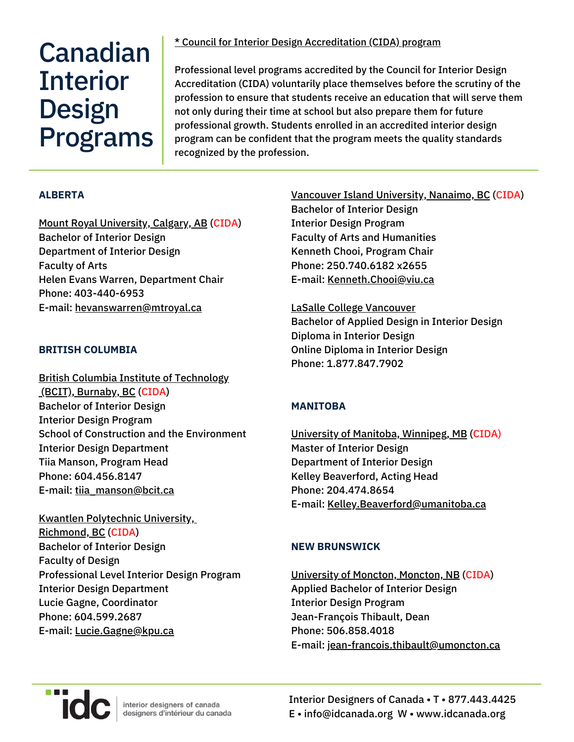# Canadian **Interior** Design Programs

\* Council for Interior Design [Accreditation](https://www.accredit-id.org/accredited-programs/#alberta) (CIDA) program

Professional level programs accredited by the Council for Interior Design Accreditation (CIDA) voluntarily place themselves before the scrutiny of the profession to ensure that students receive an education that will serve them not only during their time at school but also prepare them for future professional growth. Students enrolled in an accredited interior design program can be confident that the program meets the quality standards recognized by the profession.

#### **ALBERTA**

Mount Royal [University,](https://www.mtroyal.ca/ProgramsCourses/FacultiesSchoolsCentres/Arts/Departments/BachelorofInteriorDesign/index.htm) Calgary, AB (CIDA) Bachelor of Interior Design Department of Interior Design Faculty of Arts Helen Evans Warren, Department Chair Phone: 403-440-6953 E-mail: [hevanswarren@mtroyal.ca](mailto:hevanswarren@mtroyal.ca)

#### **BRITISH COLUMBIA**

British Columbia Institute of [Technology](https://www.bcit.ca/study/programs/8830bid#overview) [\(](https://www.bcit.ca/study/programs/8830bid#overview)BCIT), [Burnaby,](https://www.bcit.ca/study/programs/8830bid#overview) BC (CIDA) Bachelor of Interior Design Interior Design Program School of Construction and the Environment Interior Design Department Tiia Manson, Program Head Phone: 604.456.8147 E-mail: [tiia\\_manson@bcit.ca](mailto:tiia_manson@bcit.ca)

Kwantlen [Polytechnic](http://www.kpu.ca/design/interior-design) University[,](http://www.kpu.ca/design/interior-design) [Richmond,](http://www.kpu.ca/design/interior-design) BC (CIDA) Bachelor of Interior Design Faculty of Design Professional Level Interior Design Program Interior Design Department Lucie Gagne, Coordinator Phone: 604.599.2687 E-mail: [Lucie.Gagne@kpu.ca](mailto:Lucie.Gagne@kpu.ca)

Vancouver Island [University,](https://ah.viu.ca/art-and-design/interior-design) Nanaimo, BC (CIDA) Bachelor of Interior Design Interior Design Program Faculty of Arts and Humanities Kenneth Chooi, Program Chair Phone: 250.740.6182 x2655 E-mail: [Kenneth.Chooi@viu.ca](mailto:Kenneth.Chooi@viu.ca)

LaSalle College [Vancouver](https://www.lasallecollegevancouver.com/interior-design-school) Bachelor of Applied Design in Interior Design Diploma in Interior Design Online Diploma in Interior Design Phone: 1.877.847.7902

#### **MANITOBA**

University of Manitoba, [Winnipeg,](http://umanitoba.ca/faculties/architecture/programs/intdesign/) MB (CIDA) Master of Interior Design Department of Interior Design Kelley Beaverford, Acting Head Phone: 204.474.8654 E-mail: [Kelley.Beaverford@umanitoba.ca](mailto:Kelley.Beaverford@umanitoba.ca)

#### **NEW BRUNSWICK**

[University](http://www.umoncton.ca/umcm-fass-artsvisuels/node/173) of Moncton, Moncton, NB (CIDA) Applied Bachelor of Interior Design Interior Design Program Jean-François Thibault, Dean Phone: 506.858.4018 E-mail: [jean-francois.thibault@umoncton.ca](mailto:jean-francois.thibault@umoncton.ca)



Interior Designers of Canada • T • 877.443.4425 E • info@idcanada.org W • www.idcanada.org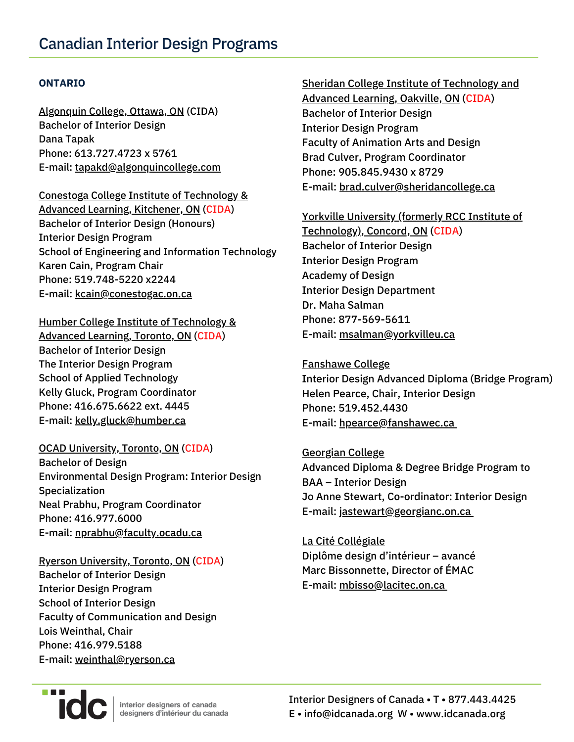#### **ONTARIO**

[Algonquin](http://www2.algonquincollege.com/mediaanddesign/program/bachelor-of-applied-arts-interior-design/) College, Ottawa, ON (CIDA) Bachelor of Interior Design Dana Tapak Phone: 613.727.4723 x 5761 E-mail: [tapakd@algonquincollege.com](mailto:tapakd@algonquincollege.com)

#### Conestoga College Institute of [Technology](http://www.conestogac.on.ca/fulltime/bachelor-of-interior-design-honours) &

Advanced Learning, Kitchener, ON (CIDA) Bachelor of Interior Design (Honours) Interior Design Program School of Engineering and Information Technology Karen Cain, Program Chair Phone: 519.748-5220 x2244 E-mail: [kcain@conestogac.on.ca](mailto:kcain@conestogac.on.ca)

#### Humber College Institute of [Technology](https://appliedtechnology.humber.ca/) &

Advanced Learning, Toronto, ON (CIDA) Bachelor of Interior Design The Interior Design Program School of Applied Technology Kelly Gluck, Program Coordinator Phone: 416.675.6622 ext. 4445 E-mail: [kelly.gluck@humber.ca](mailto:kelly.gluck@humber.ca)

#### OCAD [University,](https://www.ocadu.ca/admissions/programs/environmental-design-interior-design-specialization.htm) Toronto, ON (CIDA)

Bachelor of Design Environmental Design Program: Interior Design Specialization Neal Prabhu, Program Coordinator Phone: 416.977.6000 E-mail: [nprabhu@faculty.ocadu.ca](mailto:nprabhu@faculty.ocadu.ca)

Ryerson [University,](http://www.rsid.ryerson.ca/) Toronto, ON (CIDA) Bachelor of Interior Design Interior Design Program School of Interior Design Faculty of Communication and Design Lois Weinthal, Chair Phone: 416.979.5188 E-mail: [weinthal@ryerson.ca](mailto:weinthal@ryerson.ca)

#### Sheridan College Institute of [Technology](https://academics.sheridancollege.ca/programs/bachelor-of-interior-design) and

Advanced Learning, Oakville, ON (CIDA) Bachelor of Interior Design Interior Design Program Faculty of Animation Arts and Design Brad Culver, Program Coordinator Phone: 905.845.9430 x 8729 E-mail: [brad.culver@sheridancollege.ca](mailto:brad.culver@sheridancollege.ca)

## Yorkville University (formerly RCC Institute of [Technology\),](http://www.rccit.ca/legacy/) Concord, ON (CIDA) Bachelor of Interior Design Interior Design Program Academy of Design Interior Design Department Dr. Maha Salman Phone: 877-569-5611 E-mail: [msalman@yorkvilleu.ca](mailto:msalman@yorkvilleu.ca)

# [Fanshawe](https://www.fanshawec.ca/programs/bid1-honours-bachelor-interior-design/next) College

Interior Design Advanced Diploma (Bridge Program) Helen Pearce, Chair, Interior Design Phone: 519.452.4430 E-mail: [hpearce@fanshawec.ca](mailto:hpearce@fanshawec.ca)

### [Georgian](https://www.georgiancollege.ca/academics/full-time-programs/honours-bachelor-of-interior-design-co-op-baid/) College Advanced Diploma & Degree Bridge Program to BAA – Interior Design Jo Anne Stewart, Co-ordinator: Interior Design E-mail: [jastewart@georgianc.on.ca](mailto:jastewart@georgianc.on.ca)

# La Cité [Collégiale](http://www.lacitec.on.ca/) Diplôme design d'intérieur – avancé Marc Bissonnette, Director of ÉMAC E-mail: [mbisso@lacitec.on.ca](mailto:mbisso@lacitec.on.ca)